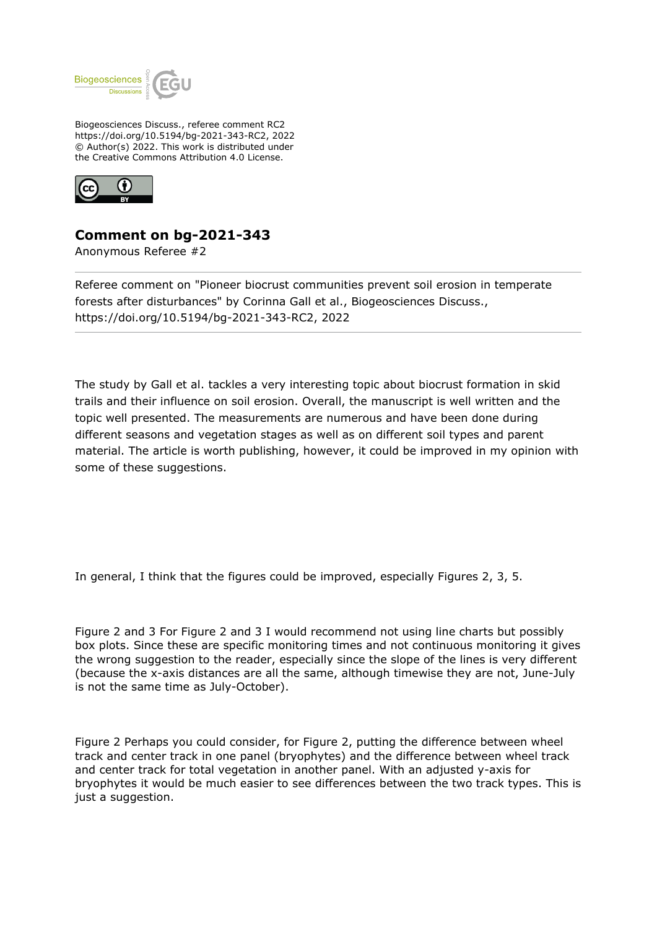

Biogeosciences Discuss., referee comment RC2 https://doi.org/10.5194/bg-2021-343-RC2, 2022 © Author(s) 2022. This work is distributed under the Creative Commons Attribution 4.0 License.



## **Comment on bg-2021-343**

Anonymous Referee #2

Referee comment on "Pioneer biocrust communities prevent soil erosion in temperate forests after disturbances" by Corinna Gall et al., Biogeosciences Discuss., https://doi.org/10.5194/bg-2021-343-RC2, 2022

The study by Gall et al. tackles a very interesting topic about biocrust formation in skid trails and their influence on soil erosion. Overall, the manuscript is well written and the topic well presented. The measurements are numerous and have been done during different seasons and vegetation stages as well as on different soil types and parent material. The article is worth publishing, however, it could be improved in my opinion with some of these suggestions.

In general, I think that the figures could be improved, especially Figures 2, 3, 5.

Figure 2 and 3 For Figure 2 and 3 I would recommend not using line charts but possibly box plots. Since these are specific monitoring times and not continuous monitoring it gives the wrong suggestion to the reader, especially since the slope of the lines is very different (because the x-axis distances are all the same, although timewise they are not, June-July is not the same time as July-October).

Figure 2 Perhaps you could consider, for Figure 2, putting the difference between wheel track and center track in one panel (bryophytes) and the difference between wheel track and center track for total vegetation in another panel. With an adjusted y-axis for bryophytes it would be much easier to see differences between the two track types. This is just a suggestion.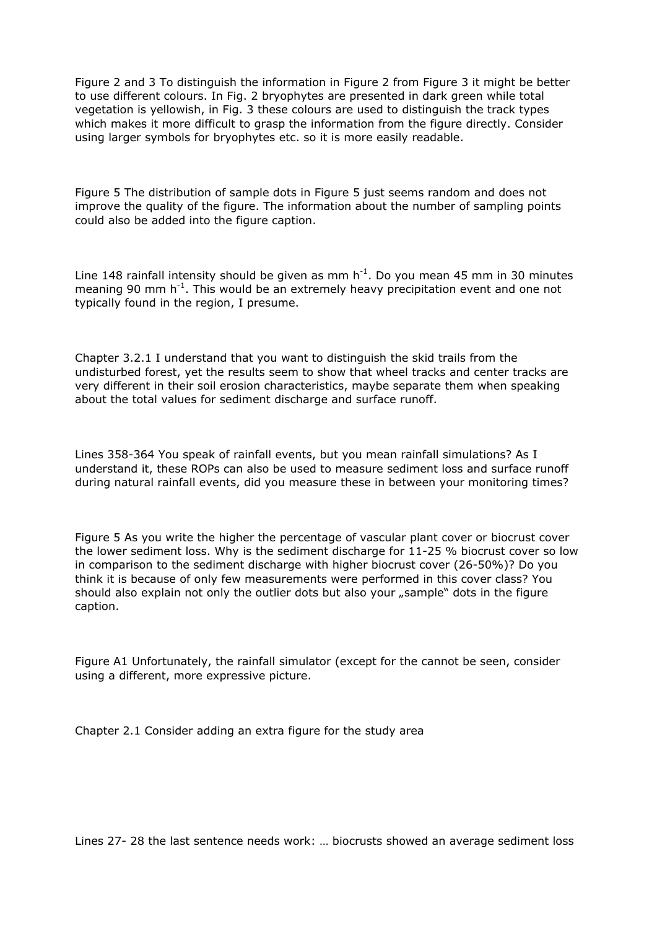Figure 2 and 3 To distinguish the information in Figure 2 from Figure 3 it might be better to use different colours. In Fig. 2 bryophytes are presented in dark green while total vegetation is yellowish, in Fig. 3 these colours are used to distinguish the track types which makes it more difficult to grasp the information from the figure directly. Consider using larger symbols for bryophytes etc. so it is more easily readable.

Figure 5 The distribution of sample dots in Figure 5 just seems random and does not improve the quality of the figure. The information about the number of sampling points could also be added into the figure caption.

Line 148 rainfall intensity should be given as mm  $h^{-1}$ . Do you mean 45 mm in 30 minutes meaning 90 mm  $h^{-1}$ . This would be an extremely heavy precipitation event and one not typically found in the region, I presume.

Chapter 3.2.1 I understand that you want to distinguish the skid trails from the undisturbed forest, yet the results seem to show that wheel tracks and center tracks are very different in their soil erosion characteristics, maybe separate them when speaking about the total values for sediment discharge and surface runoff.

Lines 358-364 You speak of rainfall events, but you mean rainfall simulations? As I understand it, these ROPs can also be used to measure sediment loss and surface runoff during natural rainfall events, did you measure these in between your monitoring times?

Figure 5 As you write the higher the percentage of vascular plant cover or biocrust cover the lower sediment loss. Why is the sediment discharge for 11-25 % biocrust cover so low in comparison to the sediment discharge with higher biocrust cover (26-50%)? Do you think it is because of only few measurements were performed in this cover class? You should also explain not only the outlier dots but also your "sample" dots in the figure caption.

Figure A1 Unfortunately, the rainfall simulator (except for the cannot be seen, consider using a different, more expressive picture.

Chapter 2.1 Consider adding an extra figure for the study area

Lines 27- 28 the last sentence needs work: … biocrusts showed an average sediment loss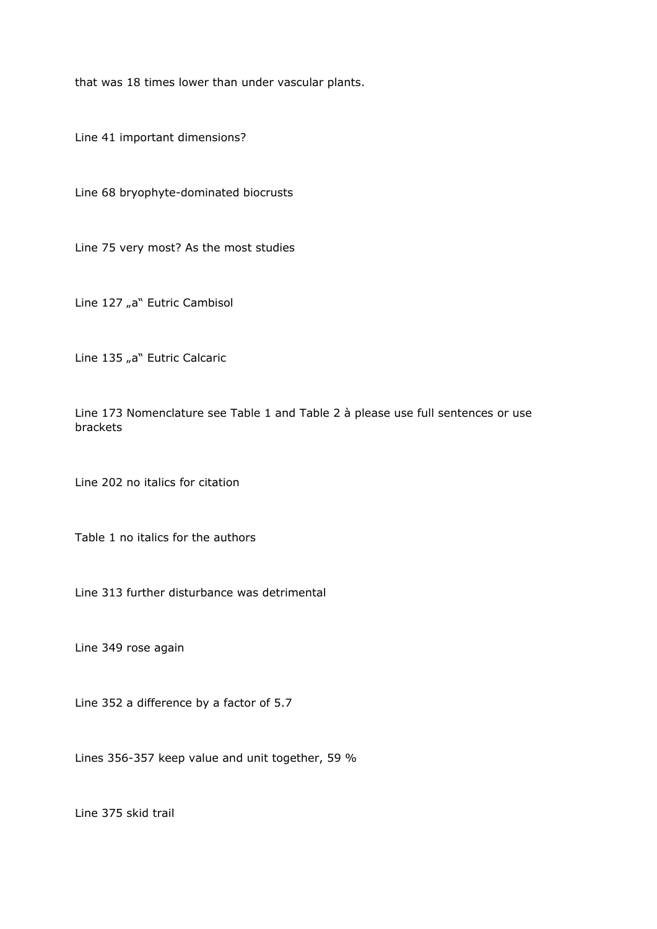that was 18 times lower than under vascular plants.

Line 41 important dimensions?

Line 68 bryophyte-dominated biocrusts

Line 75 very most? As the most studies

Line 127 "a" Eutric Cambisol

Line 135 "a" Eutric Calcaric

Line 173 Nomenclature see Table 1 and Table 2 à please use full sentences or use brackets

Line 202 no italics for citation

Table 1 no italics for the authors

Line 313 further disturbance was detrimental

Line 349 rose again

Line 352 a difference by a factor of 5.7

Lines 356-357 keep value and unit together, 59 %

Line 375 skid trail